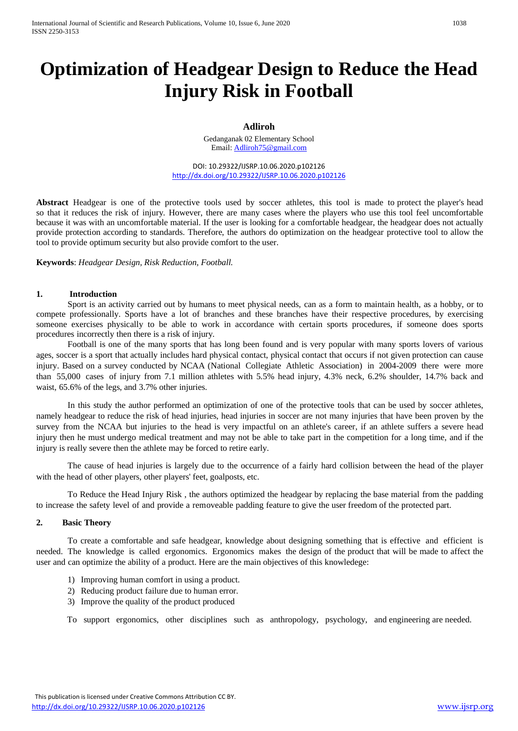# **Optimization of Headgear Design to Reduce the Head Injury Risk in Football**

## **Adliroh**

Gedanganak 02 Elementary School Email[: Adliroh75@gmail.com](mailto:Adliroh75@gmail.com)

DOI: 10.29322/IJSRP.10.06.2020.p102126 <http://dx.doi.org/10.29322/IJSRP.10.06.2020.p102126>

**Abstract** Headgear is one of the protective tools used by soccer athletes, this tool is made to protect the player's head so that it reduces the risk of injury. However, there are many cases where the players who use this tool feel uncomfortable because it was with an uncomfortable material. If the user is looking for a comfortable headgear, the headgear does not actually provide protection according to standards. Therefore, the authors do optimization on the headgear protective tool to allow the tool to provide optimum security but also provide comfort to the user.

**Keywords**: *Headgear Design, Risk Reduction, Football.*

#### **1. Introduction**

Sport is an activity carried out by humans to meet physical needs, can as a form to maintain health, as a hobby, or to compete professionally. Sports have a lot of branches and these branches have their respective procedures, by exercising someone exercises physically to be able to work in accordance with certain sports procedures, if someone does sports procedures incorrectly then there is a risk of injury.

Football is one of the many sports that has long been found and is very popular with many sports lovers of various ages, soccer is a sport that actually includes hard physical contact, physical contact that occurs if not given protection can cause injury. Based on a survey conducted by NCAA (National Collegiate Athletic Association) in 2004-2009 there were more than 55,000 cases of injury from 7.1 million athletes with 5.5% head injury, 4.3% neck, 6.2% shoulder, 14.7% back and waist, 65.6% of the legs, and 3.7% other injuries.

In this study the author performed an optimization of one of the protective tools that can be used by soccer athletes, namely headgear to reduce the risk of head injuries, head injuries in soccer are not many injuries that have been proven by the survey from the NCAA but injuries to the head is very impactful on an athlete's career, if an athlete suffers a severe head injury then he must undergo medical treatment and may not be able to take part in the competition for a long time, and if the injury is really severe then the athlete may be forced to retire early.

The cause of head injuries is largely due to the occurrence of a fairly hard collision between the head of the player with the head of other players, other players' feet, goalposts, etc.

To Reduce the Head Injury Risk , the authors optimized the headgear by replacing the base material from the padding to increase the safety level of and provide a removeable padding feature to give the user freedom of the protected part.

#### **2. Basic Theory**

To create a comfortable and safe headgear, knowledge about designing something that is effective and efficient is needed. The knowledge is called ergonomics. Ergonomics makes the design of the product that will be made to affect the user and can optimize the ability of a product. Here are the main objectives of this knowledege:

- 1) Improving human comfort in using a product.
- 2) Reducing product failure due to human error.
- 3) Improve the quality of the product produced

To support ergonomics, other disciplines such as anthropology, psychology, and engineering are needed.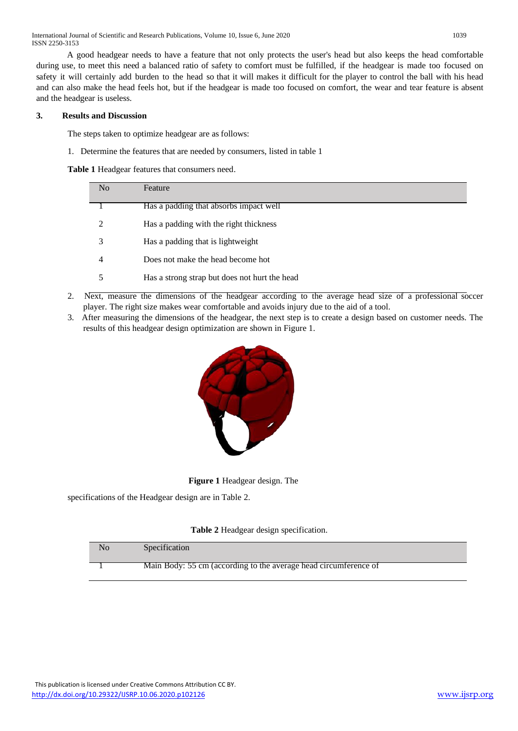International Journal of Scientific and Research Publications, Volume 10, Issue 6, June 2020 1039 ISSN 2250-3153

A good headgear needs to have a feature that not only protects the user's head but also keeps the head comfortable during use, to meet this need a balanced ratio of safety to comfort must be fulfilled, if the headgear is made too focused on safety it will certainly add burden to the head so that it will makes it difficult for the player to control the ball with his head and can also make the head feels hot, but if the headgear is made too focused on comfort, the wear and tear feature is absent and the headgear is useless.

#### **3. Results and Discussion**

The steps taken to optimize headgear are as follows:

1. Determine the features that are needed by consumers, listed in table 1

**Table 1** Headgear features that consumers need.

| No | Feature                                       |
|----|-----------------------------------------------|
|    | Has a padding that absorbs impact well        |
| 2  | Has a padding with the right thickness        |
| 3  | Has a padding that is lightweight             |
| 4  | Does not make the head become hot             |
| 5  | Has a strong strap but does not hurt the head |

- 2. Next, measure the dimensions of the headgear according to the average head size of a professional soccer player. The right size makes wear comfortable and avoids injury due to the aid of a tool.
- 3. After measuring the dimensions of the headgear, the next step is to create a design based on customer needs. The results of this headgear design optimization are shown in Figure 1.



**Figure 1** Headgear design. The

specifications of the Headgear design are in Table 2.

#### **Table 2** Headgear design specification.

| No | Specification                                                    |
|----|------------------------------------------------------------------|
|    | Main Body: 55 cm (according to the average head circumference of |